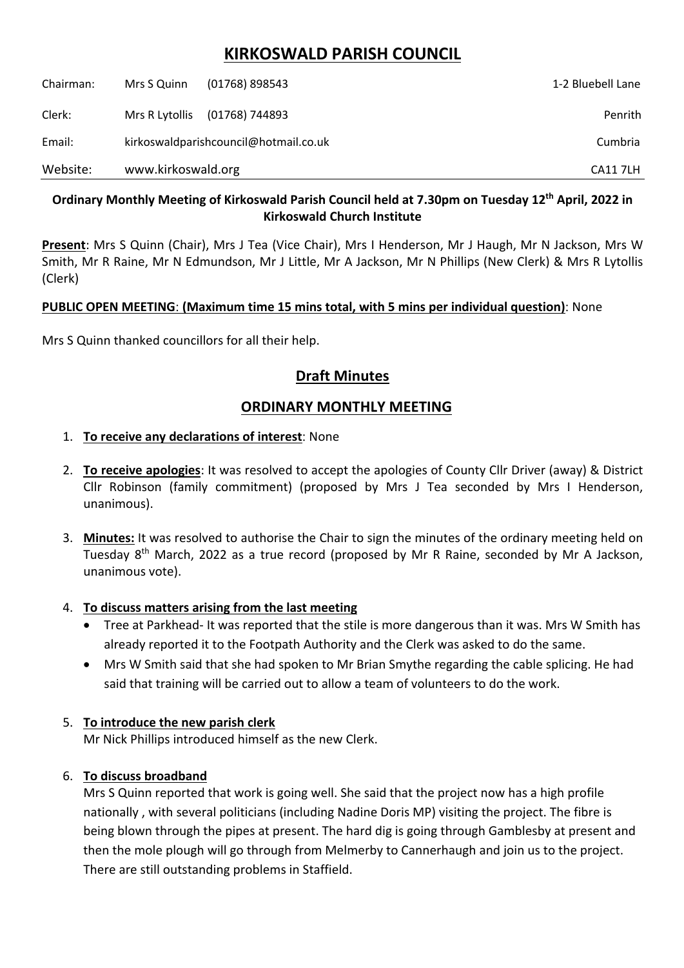# **KIRKOSWALD PARISH COUNCIL**

| Chairman: | Mrs S Quinn                           | (01768) 898543 | 1-2 Bluebell Lane |
|-----------|---------------------------------------|----------------|-------------------|
| Clerk:    | Mrs R Lytollis                        | (01768) 744893 | Penrith           |
| Email:    | kirkoswaldparishcouncil@hotmail.co.uk |                | Cumbria           |
| Website:  | www.kirkoswald.org                    |                | <b>CA117LH</b>    |

## **Ordinary Monthly Meeting of Kirkoswald Parish Council held at 7.30pm on Tuesday 12th April, 2022 in Kirkoswald Church Institute**

**Present**: Mrs S Quinn (Chair), Mrs J Tea (Vice Chair), Mrs I Henderson, Mr J Haugh, Mr N Jackson, Mrs W Smith, Mr R Raine, Mr N Edmundson, Mr J Little, Mr A Jackson, Mr N Phillips (New Clerk) & Mrs R Lytollis (Clerk)

## **PUBLIC OPEN MEETING**: **(Maximum time 15 mins total, with 5 mins per individual question)**: None

Mrs S Quinn thanked councillors for all their help.

## **Draft Minutes**

## **ORDINARY MONTHLY MEETING**

## 1. **To receive any declarations of interest**: None

- 2. **To receive apologies**: It was resolved to accept the apologies of County Cllr Driver (away) & District Cllr Robinson (family commitment) (proposed by Mrs J Tea seconded by Mrs I Henderson, unanimous).
- 3. **Minutes:** It was resolved to authorise the Chair to sign the minutes of the ordinary meeting held on Tuesday 8<sup>th</sup> March, 2022 as a true record (proposed by Mr R Raine, seconded by Mr A Jackson, unanimous vote).

## 4. **To discuss matters arising from the last meeting**

- Tree at Parkhead- It was reported that the stile is more dangerous than it was. Mrs W Smith has already reported it to the Footpath Authority and the Clerk was asked to do the same.
- Mrs W Smith said that she had spoken to Mr Brian Smythe regarding the cable splicing. He had said that training will be carried out to allow a team of volunteers to do the work.

## 5. **To introduce the new parish clerk**

Mr Nick Phillips introduced himself as the new Clerk.

## 6. **To discuss broadband**

Mrs S Quinn reported that work is going well. She said that the project now has a high profile nationally , with several politicians (including Nadine Doris MP) visiting the project. The fibre is being blown through the pipes at present. The hard dig is going through Gamblesby at present and then the mole plough will go through from Melmerby to Cannerhaugh and join us to the project. There are still outstanding problems in Staffield.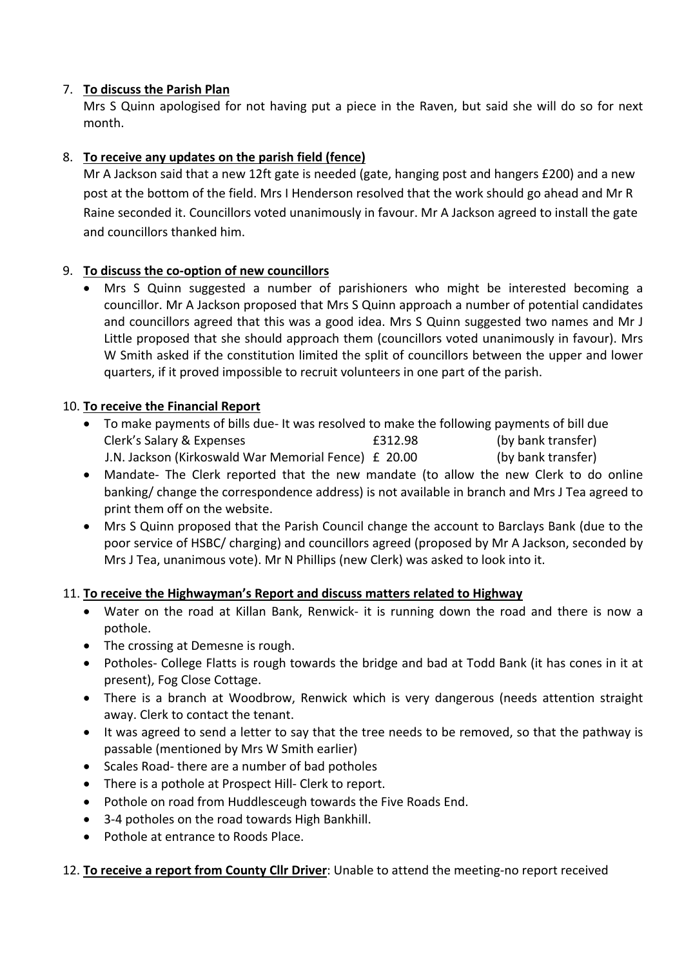## 7. **To discuss the Parish Plan**

Mrs S Quinn apologised for not having put a piece in the Raven, but said she will do so for next month.

### 8. **To receive any updates on the parish field (fence)**

Mr A Jackson said that a new 12ft gate is needed (gate, hanging post and hangers £200) and a new post at the bottom of the field. Mrs I Henderson resolved that the work should go ahead and Mr R Raine seconded it. Councillors voted unanimously in favour. Mr A Jackson agreed to install the gate and councillors thanked him.

#### 9. **To discuss the co-option of new councillors**

• Mrs S Quinn suggested a number of parishioners who might be interested becoming a councillor. Mr A Jackson proposed that Mrs S Quinn approach a number of potential candidates and councillors agreed that this was a good idea. Mrs S Quinn suggested two names and Mr J Little proposed that she should approach them (councillors voted unanimously in favour). Mrs W Smith asked if the constitution limited the split of councillors between the upper and lower quarters, if it proved impossible to recruit volunteers in one part of the parish.

#### 10. **To receive the Financial Report**

- To make payments of bills due- It was resolved to make the following payments of bill due Clerk's Salary & Expenses **E312.98** (by bank transfer) J.N. Jackson (Kirkoswald War Memorial Fence) £ 20.00 (by bank transfer)
- Mandate- The Clerk reported that the new mandate (to allow the new Clerk to do online banking/ change the correspondence address) is not available in branch and Mrs J Tea agreed to print them off on the website.
- Mrs S Quinn proposed that the Parish Council change the account to Barclays Bank (due to the poor service of HSBC/ charging) and councillors agreed (proposed by Mr A Jackson, seconded by Mrs J Tea, unanimous vote). Mr N Phillips (new Clerk) was asked to look into it.

#### 11. **To receive the Highwayman's Report and discuss matters related to Highway**

- Water on the road at Killan Bank, Renwick- it is running down the road and there is now a pothole.
- The crossing at Demesne is rough.
- Potholes- College Flatts is rough towards the bridge and bad at Todd Bank (it has cones in it at present), Fog Close Cottage.
- There is a branch at Woodbrow, Renwick which is very dangerous (needs attention straight away. Clerk to contact the tenant.
- It was agreed to send a letter to say that the tree needs to be removed, so that the pathway is passable (mentioned by Mrs W Smith earlier)
- Scales Road- there are a number of bad potholes
- There is a pothole at Prospect Hill- Clerk to report.
- Pothole on road from Huddlesceugh towards the Five Roads End.
- 3-4 potholes on the road towards High Bankhill.
- Pothole at entrance to Roods Place.

#### 12. **To receive a report from County Cllr Driver**: Unable to attend the meeting-no report received